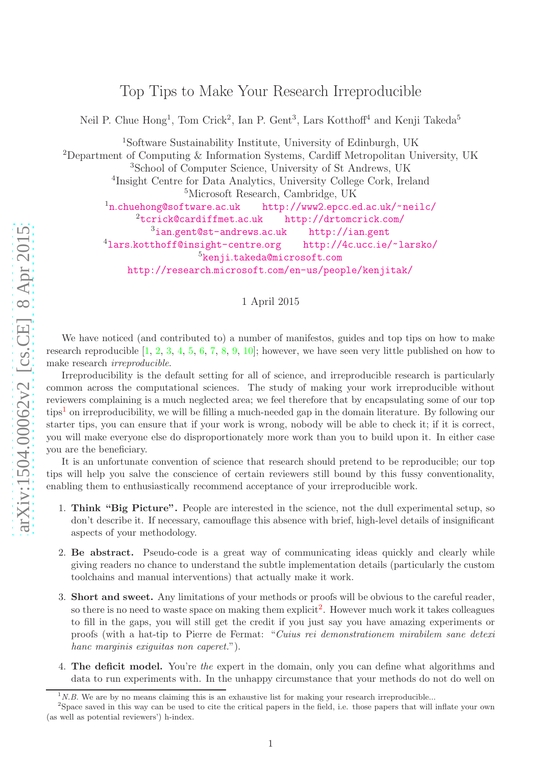Top Tips to Make Your Research Irreproducible

Neil P. Chue Hong<sup>1</sup>, Tom Crick<sup>2</sup>, Ian P. Gent<sup>3</sup>, Lars Kotthoff<sup>4</sup> and Kenji Takeda<sup>5</sup>

<sup>1</sup>Software Sustainability Institute, University of Edinburgh, UK <sup>2</sup>Department of Computing & Information Systems, Cardiff Metropolitan University, UK  $3$ School of Computer Science, University of St Andrews, UK <sup>4</sup>Insight Centre for Data Analytics, University College Cork, Ireland  $5$ Microsoft Research, Cambridge, UK  $1n$ .chuehong@software.ac.uk n.[chuehong@software](n.chuehong@software.ac.uk).ac.uk [http://www2](http://www2.epcc.ed.ac.uk/~neilc/).epcc.ed.ac.uk/~neilc/ <sup>2</sup>[tcrick@cardiffmet](tcrick@cardiffmet.ac.uk).ac.uk [http://drtomcrick](http://drtomcrick.com/).com/ <sup>3</sup>ian.[gent@st-andrews](ian.gent@st-andrews.ac.uk).ac.uk [http://ian](http://ian.gent).gent  $4$ lars.[kotthoff@insight-centre](lars.kotthoff@insight-centre.org).org http://4c.ucc.ie/~larsko/ <sup>5</sup>kenji.[takeda@microsoft](kenji.takeda@microsoft.com).com http://research.microsoft.[com/en-us/people/kenjitak/](http://research.microsoft.com/en-us/people/kenjitak/)

## 1 April 2015

We have noticed (and contributed to) a number of manifestos, guides and top tips on how to make research reproducible  $[1, 2, 3, 4, 5, 6, 7, 8, 9, 10]$  $[1, 2, 3, 4, 5, 6, 7, 8, 9, 10]$  $[1, 2, 3, 4, 5, 6, 7, 8, 9, 10]$  $[1, 2, 3, 4, 5, 6, 7, 8, 9, 10]$  $[1, 2, 3, 4, 5, 6, 7, 8, 9, 10]$  $[1, 2, 3, 4, 5, 6, 7, 8, 9, 10]$  $[1, 2, 3, 4, 5, 6, 7, 8, 9, 10]$  $[1, 2, 3, 4, 5, 6, 7, 8, 9, 10]$  $[1, 2, 3, 4, 5, 6, 7, 8, 9, 10]$  $[1, 2, 3, 4, 5, 6, 7, 8, 9, 10]$  $[1, 2, 3, 4, 5, 6, 7, 8, 9, 10]$  $[1, 2, 3, 4, 5, 6, 7, 8, 9, 10]$  $[1, 2, 3, 4, 5, 6, 7, 8, 9, 10]$  $[1, 2, 3, 4, 5, 6, 7, 8, 9, 10]$  $[1, 2, 3, 4, 5, 6, 7, 8, 9, 10]$  $[1, 2, 3, 4, 5, 6, 7, 8, 9, 10]$  $[1, 2, 3, 4, 5, 6, 7, 8, 9, 10]$  $[1, 2, 3, 4, 5, 6, 7, 8, 9, 10]$  $[1, 2, 3, 4, 5, 6, 7, 8, 9, 10]$  $[1, 2, 3, 4, 5, 6, 7, 8, 9, 10]$ ; however, we have seen very little published on how to make research *irreproducible* .

Irreproducibility is the default setting for all of science, and irreproducible research is particularly common across the computational sciences. The study of making your work irreproducible without reviewers complaining is a much neglected area; we feel therefore that by encapsulating some of our top tips [1](#page-0-0) on irreproducibility, we will be filling a much-needed gap in the domain literature. By following our starter tips, you can ensure that if your work is wrong, nobody will be able to check it; if it is correct, you will make everyone else do disproportionately more work than you to build upon it. In either case you are the beneficiary.

It is an unfortunate convention of science that research should pretend to be reproducible; our top tips will help you salve the conscience of certain reviewers still bound by this fussy conventionality, enabling them to enthusiastically recommend acceptance of your irreproducible work.

- 1. Think "Big Picture". People are interested in the science, not the dull experimental setup, so don't describe it. If necessary, camouflage this absence with brief, high-level details of insignificant aspects of your methodology.
- 2. Be abstract. Pseudo-code is a great way of communicating ideas quickly and clearly while giving readers no chance to understand the subtle implementation details (particularly the custom toolchains and manual interventions) that actually make it work.
- 3. Short and sweet. Any limitations of your methods or proofs will be obvious to the careful reader, so there is no need to waste space on making them explicit<sup>[2](#page-0-1)</sup>. However much work it takes colleagues to fill in the gaps, you will still get the credit if you just say you have amazing experiments or proofs (with a hat-tip to Pierre de Fermat: "*Cuius rei demonstrationem mirabilem sane detexi hanc marginis exiguitas non caperet.*").
- 4. The deficit model. You're *the* expert in the domain, only you can define what algorithms and data to run experiments with. In the unhappy circumstance that your methods do not do well on

<span id="page-0-0"></span> $1N.B.$  We are by no means claiming this is an exhaustive list for making your research irreproducible...

<span id="page-0-1"></span> $2$ Space saved in this way can be used to cite the critical papers in the field, i.e. those papers that will inflate your own (as well as potential reviewers') h-index.